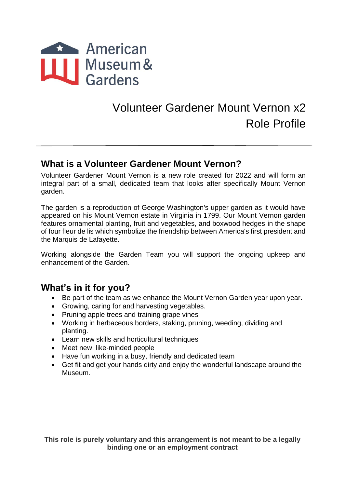

# Volunteer Gardener Mount Vernon x2 Role Profile

#### **What is a Volunteer Gardener Mount Vernon?**

Volunteer Gardener Mount Vernon is a new role created for 2022 and will form an integral part of a small, dedicated team that looks after specifically Mount Vernon garden.

The garden is a reproduction of George Washington's upper garden as it would have appeared on his Mount Vernon estate in Virginia in 1799. Our Mount Vernon garden features ornamental planting, fruit and vegetables, and boxwood hedges in the shape of four fleur de lis which symbolize the friendship between America's first president and the Marquis de Lafayette.

Working alongside the Garden Team you will support the ongoing upkeep and enhancement of the Garden.

## **What's in it for you?**

- Be part of the team as we enhance the Mount Vernon Garden year upon year.
- Growing, caring for and harvesting vegetables.
- Pruning apple trees and training grape vines
- Working in herbaceous borders, staking, pruning, weeding, dividing and planting.
- Learn new skills and horticultural techniques
- Meet new, like-minded people
- Have fun working in a busy, friendly and dedicated team
- Get fit and get your hands dirty and enjoy the wonderful landscape around the Museum.

**This role is purely voluntary and this arrangement is not meant to be a legally binding one or an employment contract**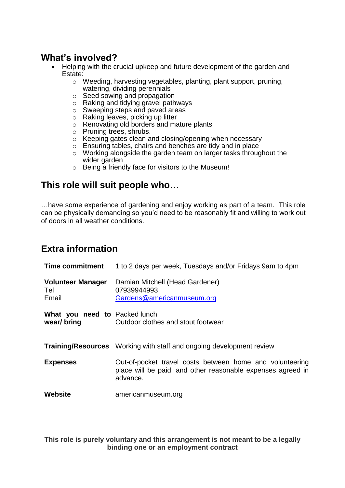## **What's involved?**

- Helping with the crucial upkeep and future development of the garden and Estate:
	- o Weeding, harvesting vegetables, planting, plant support, pruning, watering, dividing perennials
	- o Seed sowing and propagation
	- o Raking and tidying gravel pathways
	- o Sweeping steps and paved areas
	- o Raking leaves, picking up litter
	- o Renovating old borders and mature plants
	- o Pruning trees, shrubs.
	- o Keeping gates clean and closing/opening when necessary
	- o Ensuring tables, chairs and benches are tidy and in place
	- o Working alongside the garden team on larger tasks throughout the wider garden
	- o Being a friendly face for visitors to the Museum!

#### **This role will suit people who…**

…have some experience of gardening and enjoy working as part of a team. This role can be physically demanding so you'd need to be reasonably fit and willing to work out of doors in all weather conditions.

# **Extra information**

| <b>Time commitment</b>                      | 1 to 2 days per week, Tuesdays and/or Fridays 9am to 4pm                                                                            |
|---------------------------------------------|-------------------------------------------------------------------------------------------------------------------------------------|
| <b>Volunteer Manager</b><br>Tel<br>Email    | Damian Mitchell (Head Gardener)<br>07939944993<br>Gardens@americanmuseum.org                                                        |
| What you need to Packed lunch<br>wear/bring | Outdoor clothes and stout footwear                                                                                                  |
|                                             | <b>Training/Resources</b> Working with staff and ongoing development review                                                         |
| <b>Expenses</b>                             | Out-of-pocket travel costs between home and volunteering<br>place will be paid, and other reasonable expenses agreed in<br>advance. |
| Website                                     | americanmuseum.org                                                                                                                  |

**This role is purely voluntary and this arrangement is not meant to be a legally binding one or an employment contract**